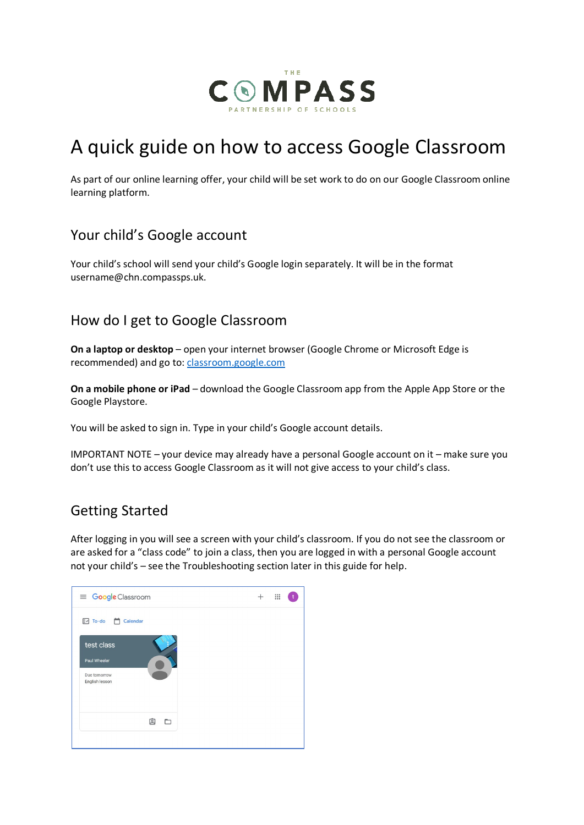

# A quick guide on how to access Google Classroom

As part of our online learning offer, your child will be set work to do on our Google Classroom online learning platform.

#### Your child's Google account

Your child's school will send your child's Google login separately. It will be in the format username@chn.compassps.uk.

#### How do I get to Google Classroom

**On a laptop or desktop** – open your internet browser (Google Chrome or Microsoft Edge is recommended) and go to: [classroom.google.com](https://classroom.google.com/)

**On a mobile phone or iPad** – download the Google Classroom app from the Apple App Store or the Google Playstore.

You will be asked to sign in. Type in your child's Google account details.

IMPORTANT NOTE – your device may already have a personal Google account on it – make sure you don't use this to access Google Classroom as it will not give access to your child's class.

#### Getting Started

After logging in you will see a screen with your child's classroom. If you do not see the classroom or are asked for a "class code" to join a class, then you are logged in with a personal Google account not your child's – see the Troubleshooting section later in this guide for help.

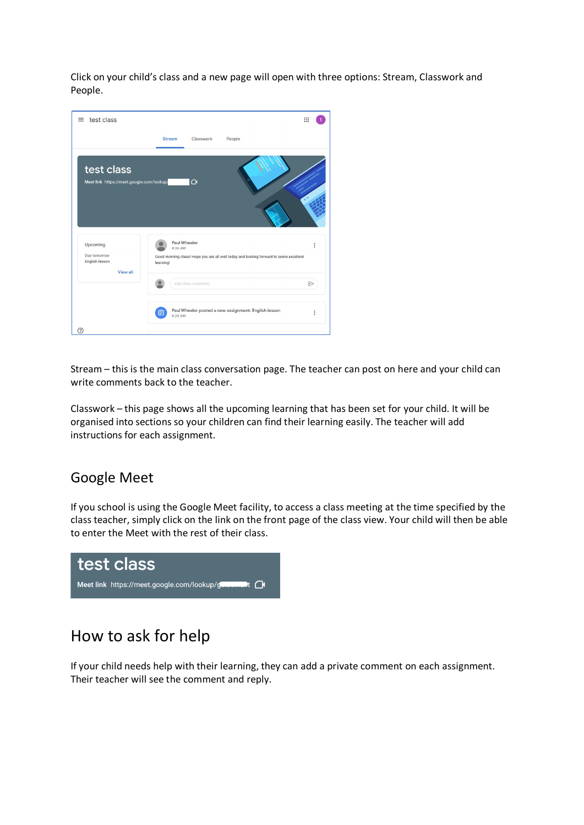Click on your child's class and a new page will open with three options: Stream, Classwork and People.

| test class<br>$\equiv$                                        |                                                                                                                               | $\mathbf{}$ |
|---------------------------------------------------------------|-------------------------------------------------------------------------------------------------------------------------------|-------------|
|                                                               | <b>Stream</b><br>Classwork<br>People                                                                                          |             |
| test class<br>Meet link https://meet.google.com/lookup/       | $\bigcap$                                                                                                                     |             |
| Upcoming<br>Due tomorrow<br>English lesson<br>View all<br>(?) | Paul Wheeler<br>8:36 AM<br>Good morning class! Hope you are all well today and looking forward to some excellent<br>learning! | i           |
|                                                               | Add class comment                                                                                                             |             |
|                                                               | Paul Wheeler posted a new assignment: English lesson<br>自<br>8:29 AM                                                          | i           |

Stream – this is the main class conversation page. The teacher can post on here and your child can write comments back to the teacher.

Classwork – this page shows all the upcoming learning that has been set for your child. It will be organised into sections so your children can find their learning easily. The teacher will add instructions for each assignment.

#### Google Meet

If you school is using the Google Meet facility, to access a class meeting at the time specified by the class teacher, simply click on the link on the front page of the class view. Your child will then be able to enter the Meet with the rest of their class.



### How to ask for help

If your child needs help with their learning, they can add a private comment on each assignment. Their teacher will see the comment and reply.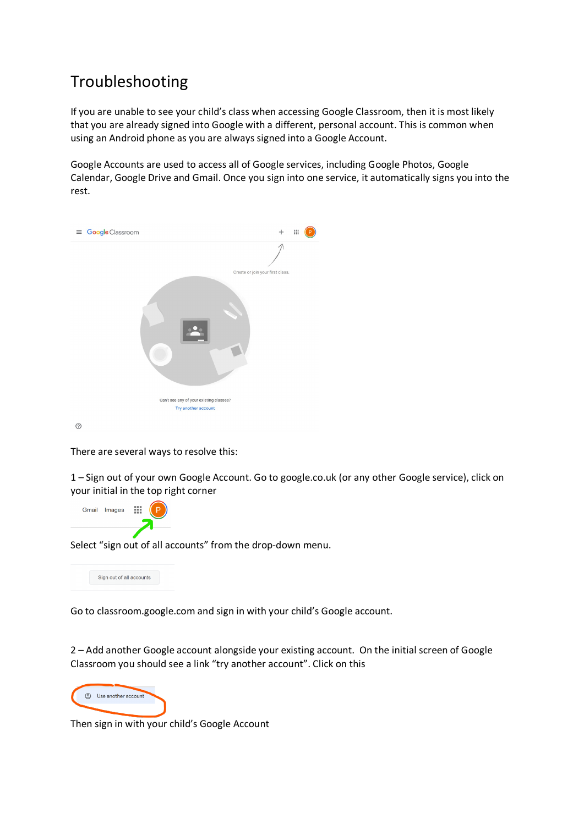## Troubleshooting

If you are unable to see your child's class when accessing Google Classroom, then it is most likely that you are already signed into Google with a different, personal account. This is common when using an Android phone as you are always signed into a Google Account.

Google Accounts are used to access all of Google services, including Google Photos, Google Calendar, Google Drive and Gmail. Once you sign into one service, it automatically signs you into the rest.



 $\odot$ 

There are several ways to resolve this:

1 – Sign out of your own Google Account. Go to google.co.uk (or any other Google service), click on your initial in the top right corner



Select "sign out of all accounts" from the drop-down menu.



Go to classroom.google.com and sign in with your child's Google account.

2 – Add another Google account alongside your existing account. On the initial screen of Google Classroom you should see a link "try another account". Click on this



Then sign in with your child's Google Account